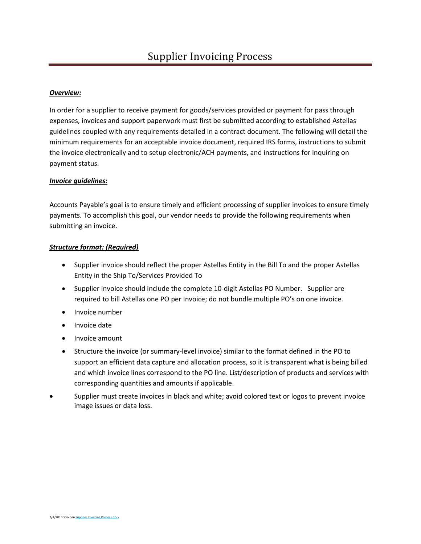# *Overview:*

In order for a supplier to receive payment for goods/services provided or payment for pass through expenses, invoices and support paperwork must first be submitted according to established Astellas guidelines coupled with any requirements detailed in a contract document. The following will detail the minimum requirements for an acceptable invoice document, required IRS forms, instructions to submit the invoice electronically and to setup electronic/ACH payments, and instructions for inquiring on payment status.

### *Invoice guidelines:*

Accounts Payable's goal is to ensure timely and efficient processing of supplier invoices to ensure timely payments. To accomplish this goal, our vendor needs to provide the following requirements when submitting an invoice.

### *Structure format: (Required)*

- Supplier invoice should reflect the proper Astellas Entity in the Bill To and the proper Astellas Entity in the Ship To/Services Provided To
- Supplier invoice should include the complete 10-digit Astellas PO Number. Supplier are required to bill Astellas one PO per Invoice; do not bundle multiple PO's on one invoice.
- Invoice number
- Invoice date
- Invoice amount
- Structure the invoice (or summary-level invoice) similar to the format defined in the PO to support an efficient data capture and allocation process, so it is transparent what is being billed and which invoice lines correspond to the PO line. List/description of products and services with corresponding quantities and amounts if applicable.
- Supplier must create invoices in black and white; avoid colored text or logos to prevent invoice image issues or data loss.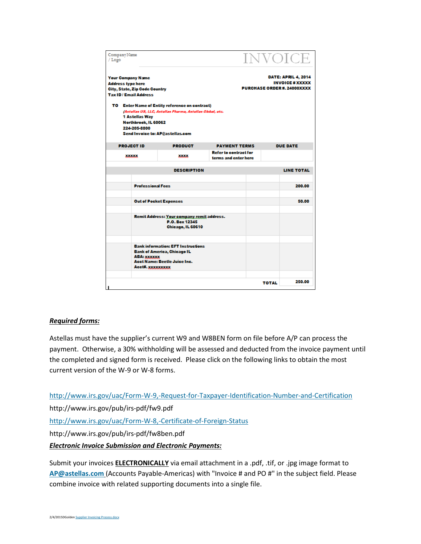| Company Name<br>/Logo                                                                                                                                                                                            |                                                                                                                        | <b>INVOICE</b>                                       |              |                 |
|------------------------------------------------------------------------------------------------------------------------------------------------------------------------------------------------------------------|------------------------------------------------------------------------------------------------------------------------|------------------------------------------------------|--------------|-----------------|
| <b>Your Company Name</b><br><b>Address type here</b><br><b>City, State, Zip Code Country</b><br><b>Tax ID/Email Address</b>                                                                                      | <b>DATE: APRIL 4, 2014</b><br><b>INVOICE # XXXXX</b><br><b>PURCHASE ORDER #. 24000XXXX</b>                             |                                                      |              |                 |
| TO Enter Name of Entity reference on contract)<br>(Astellas US, LLC, Astellas Pharma, Astellas Global, etc.<br><b>1 Astellas Way</b><br>Northbrook, IL 60062<br>224-205-8800<br>Send Invoice to: AP@astellas.com |                                                                                                                        |                                                      |              |                 |
| <b>PROJECT ID</b>                                                                                                                                                                                                | <b>PRODUCT</b>                                                                                                         | <b>PAYMENT TERMS</b>                                 |              | <b>DUE DATE</b> |
| <b>XXXXXX</b>                                                                                                                                                                                                    | <b>XXXX</b>                                                                                                            | <b>Refer to contract for</b><br>terms and enter here |              |                 |
| <b>DESCRIPTION</b>                                                                                                                                                                                               |                                                                                                                        |                                                      |              | LINE TOTAL      |
| <b>Professional Fees</b>                                                                                                                                                                                         |                                                                                                                        |                                                      |              | 200.00          |
| <b>Out of Pocket Expenses</b>                                                                                                                                                                                    |                                                                                                                        |                                                      |              | 50.00           |
| <b>Remit Address: Your company remit address.</b><br>P.O. Box 12345<br>Chicago, IL 60610                                                                                                                         |                                                                                                                        |                                                      |              |                 |
| ABA: xxxxxx<br>Acct#. XXXXXXXXXX                                                                                                                                                                                 | <b>Bank information: EFT Instructions</b><br><b>Bank of America, Chicago IL</b><br><b>Acct Name: Beetle Juice Inc.</b> |                                                      |              |                 |
| ı                                                                                                                                                                                                                |                                                                                                                        |                                                      | <b>TOTAL</b> | 250.00          |

## *Required forms:*

Astellas must have the supplier's current W9 and W8BEN form on file before A/P can process the payment. Otherwise, a 30% withholding will be assessed and deducted from the invoice payment until the completed and signed form is received. Please click on the following links to obtain the most current version of the W-9 or W-8 forms.

<http://www.irs.gov/uac/Form-W-9,-Request-for-Taxpayer-Identification-Number-and-Certification> http://www.irs.gov/pub/irs-pdf/fw9.pdf <http://www.irs.gov/uac/Form-W-8,-Certificate-of-Foreign-Status> http://www.irs.gov/pub/irs-pdf/fw8ben.pdf *Electronic Invoice Submission and Electronic Payments:*

Submit your invoices **ELECTRONICALLY** via email attachment in a .pdf, .tif, or .jpg image format to **[AP@astellas.com](mailto:AP@astellas.com)** (Accounts Payable-Americas) with "Invoice # and PO #" in the subject field. Please combine invoice with related supporting documents into a single file.